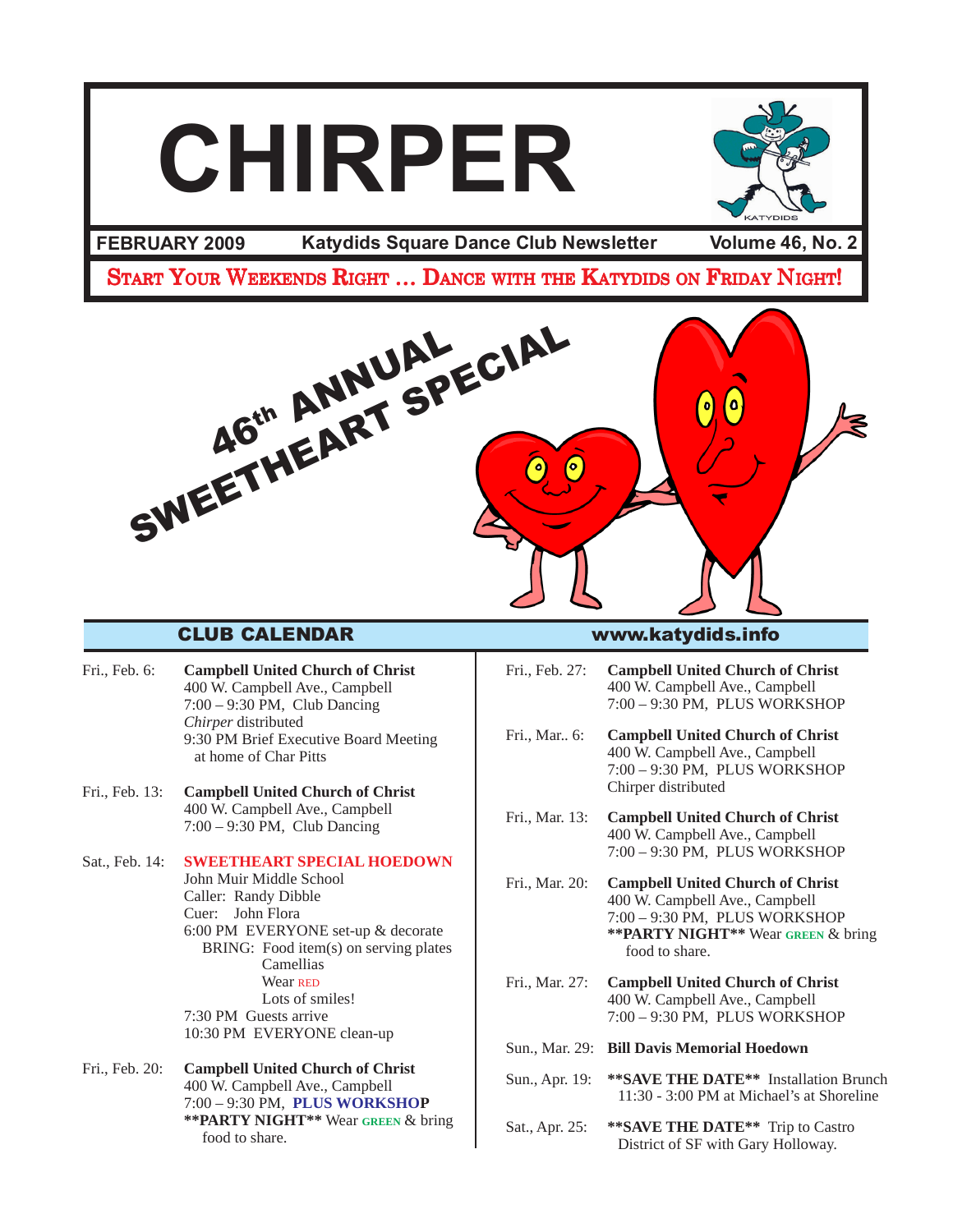

- Fri., Feb. 6: **Campbell United Church of Christ** 400 W. Campbell Ave., Campbell 7:00 – 9:30 PM, Club Dancing *Chirper* distributed 9:30 PM Brief Executive Board Meeting at home of Char Pitts
- Fri., Feb. 13: **Campbell United Church of Christ** 400 W. Campbell Ave., Campbell 7:00 – 9:30 PM, Club Dancing

Sat., Feb. 14: **SWEETHEART SPECIAL HOEDOWN** John Muir Middle School Caller: Randy Dibble Cuer: John Flora 6:00 PM EVERYONE set-up & decorate BRING: Food item(s) on serving plates Camellias Wear RED Lots of smiles! 7:30 PM Guests arrive 10:30 PM EVERYONE clean-up

Fri., Feb. 20: **Campbell United Church of Christ** 400 W. Campbell Ave., Campbell 7:00 – 9:30 PM, **PLUS WORKSHOP \*\*PARTY NIGHT\*\*** Wear **GREEN** & bring food to share.

Fri., Feb. 27: **Campbell United Church of Christ** 400 W. Campbell Ave., Campbell 7:00 – 9:30 PM, PLUS WORKSHOP

Fri., Mar.. 6: **Campbell United Church of Christ** 400 W. Campbell Ave., Campbell 7:00 – 9:30 PM, PLUS WORKSHOP Chirper distributed

- Fri., Mar. 13: **Campbell United Church of Christ** 400 W. Campbell Ave., Campbell 7:00 – 9:30 PM, PLUS WORKSHOP
- Fri., Mar. 20: **Campbell United Church of Christ** 400 W. Campbell Ave., Campbell 7:00 – 9:30 PM, PLUS WORKSHOP **\*\*PARTY NIGHT\*\*** Wear **GREEN** & bring food to share.
- Fri., Mar. 27: **Campbell United Church of Christ** 400 W. Campbell Ave., Campbell 7:00 – 9:30 PM, PLUS WORKSHOP
- Sun., Mar. 29: **Bill Davis Memorial Hoedown**
- Sun., Apr. 19: **\*\*SAVE THE DATE\*\*** Installation Brunch 11:30 - 3:00 PM at Michael's at Shoreline
- Sat., Apr. 25: **\*\*SAVE THE DATE\*\*** Trip to Castro District of SF with Gary Holloway.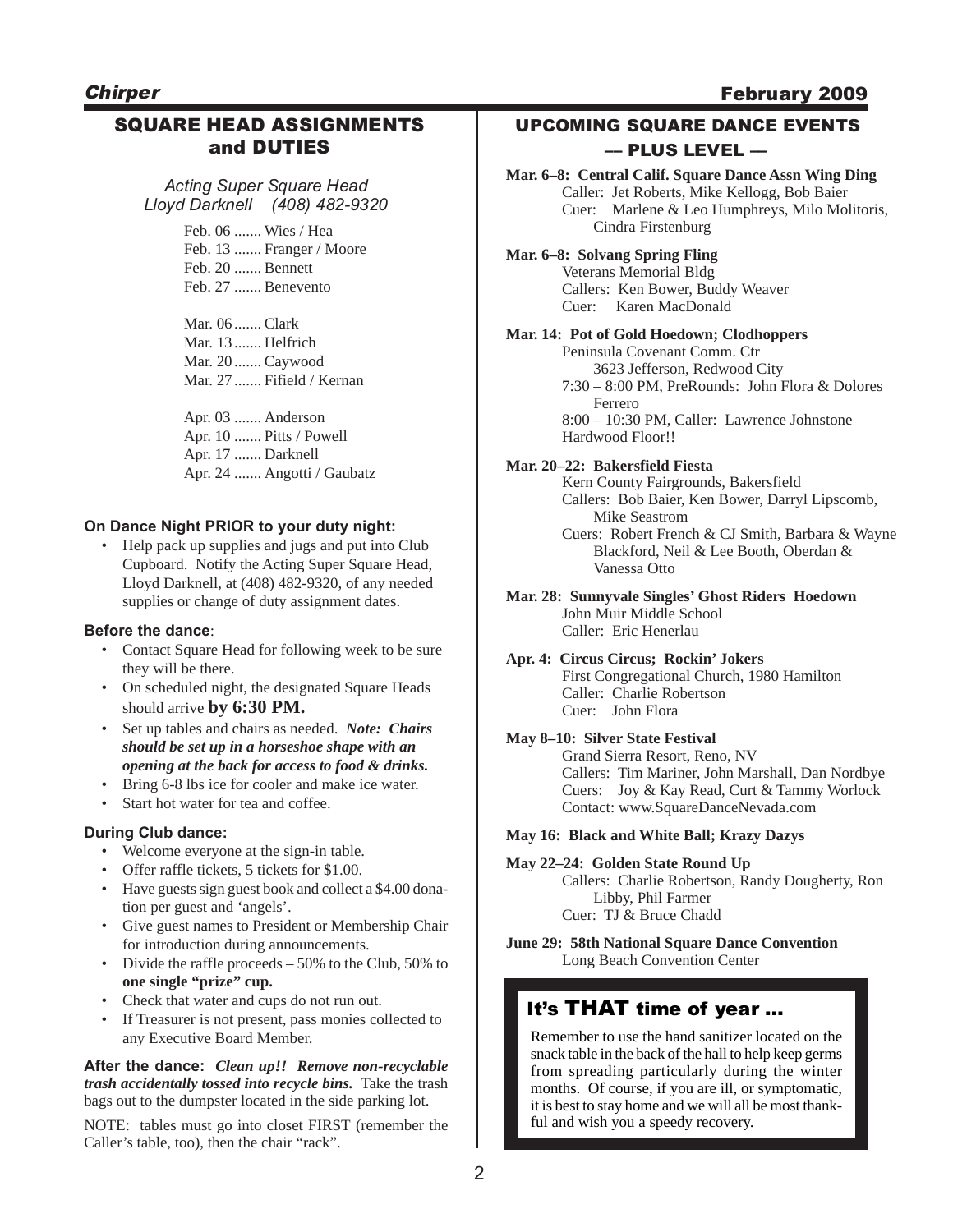**Chirper** 

## February 2009

# SQUARE HEAD ASSIGNMENTS and DUTIES

*Acting Super Square Head Lloyd Darknell (408) 482-9320*

> Feb. 06 ....... Wies / Hea Feb. 13 ....... Franger / Moore Feb. 20 ....... Bennett Feb. 27 ....... Benevento

Mar. 06 ....... Clark Mar. 13 ....... Helfrich Mar. 20 ....... Caywood Mar. 27 ....... Fifield / Kernan

Apr. 03 ....... Anderson Apr. 10 ....... Pitts / Powell Apr. 17 ....... Darknell Apr. 24 ....... Angotti / Gaubatz

### **On Dance Night PRIOR to your duty night:**

• Help pack up supplies and jugs and put into Club Cupboard. Notify the Acting Super Square Head, Lloyd Darknell, at (408) 482-9320, of any needed supplies or change of duty assignment dates.

#### **Before the dance**:

- Contact Square Head for following week to be sure they will be there.
- On scheduled night, the designated Square Heads should arrive **by 6:30 PM.**
- Set up tables and chairs as needed. *Note: Chairs should be set up in a horseshoe shape with an opening at the back for access to food & drinks.*
- Bring 6-8 lbs ice for cooler and make ice water.
- Start hot water for tea and coffee.

#### **During Club dance:**

- Welcome everyone at the sign-in table.
- Offer raffle tickets, 5 tickets for \$1.00.
- Have guests sign guest book and collect a \$4.00 donation per guest and 'angels'.
- Give guest names to President or Membership Chair for introduction during announcements.
- Divide the raffle proceeds 50% to the Club, 50% to **one single "prize" cup.**
- Check that water and cups do not run out.
- If Treasurer is not present, pass monies collected to any Executive Board Member.

**After the dance:** *Clean up!! Remove non-recyclable trash accidentally tossed into recycle bins.*Take the trash bags out to the dumpster located in the side parking lot.

NOTE: tables must go into closet FIRST (remember the Caller's table, too), then the chair "rack".

# UPCOMING SQUARE DANCE EVENTS –– PLUS LEVEL ––

**Mar. 6–8: Central Calif. Square Dance Assn Wing Ding** Caller: Jet Roberts, Mike Kellogg, Bob Baier Cuer: Marlene & Leo Humphreys, Milo Molitoris, Cindra Firstenburg

**Mar. 6–8: Solvang Spring Fling** Veterans Memorial Bldg Callers: Ken Bower, Buddy Weaver Cuer: Karen MacDonald

### **Mar. 14: Pot of Gold Hoedown; Clodhoppers**

Peninsula Covenant Comm. Ctr 3623 Jefferson, Redwood City 7:30 – 8:00 PM, PreRounds: John Flora & Dolores Ferrero 8:00 – 10:30 PM, Caller: Lawrence Johnstone Hardwood Floor!!

### **Mar. 20–22: Bakersfield Fiesta**

Kern County Fairgrounds, Bakersfield Callers: Bob Baier, Ken Bower, Darryl Lipscomb, Mike Seastrom Cuers: Robert French & CJ Smith, Barbara & Wayne Blackford, Neil & Lee Booth, Oberdan & Vanessa Otto

**Mar. 28: Sunnyvale Singles' Ghost Riders Hoedown** John Muir Middle School Caller: Eric Henerlau

#### **Apr. 4: Circus Circus; Rockin' Jokers** First Congregational Church, 1980 Hamilton Caller: Charlie Robertson

Cuer: John Flora

#### **May 8–10: Silver State Festival**

Grand Sierra Resort, Reno, NV Callers: Tim Mariner, John Marshall, Dan Nordbye Cuers: Joy & Kay Read, Curt & Tammy Worlock Contact: www.SquareDanceNevada.com

#### **May 16: Black and White Ball; Krazy Dazys**

**May 22–24: Golden State Round Up** Callers: Charlie Robertson, Randy Dougherty, Ron Libby, Phil Farmer Cuer: TJ & Bruce Chadd

**June 29: 58th National Square Dance Convention** Long Beach Convention Center

# It's THAT time of year …

Remember to use the hand sanitizer located on the snack table in the back of the hall to help keep germs from spreading particularly during the winter months. Of course, if you are ill, or symptomatic, it is best to stay home and we will all be most thankful and wish you a speedy recovery.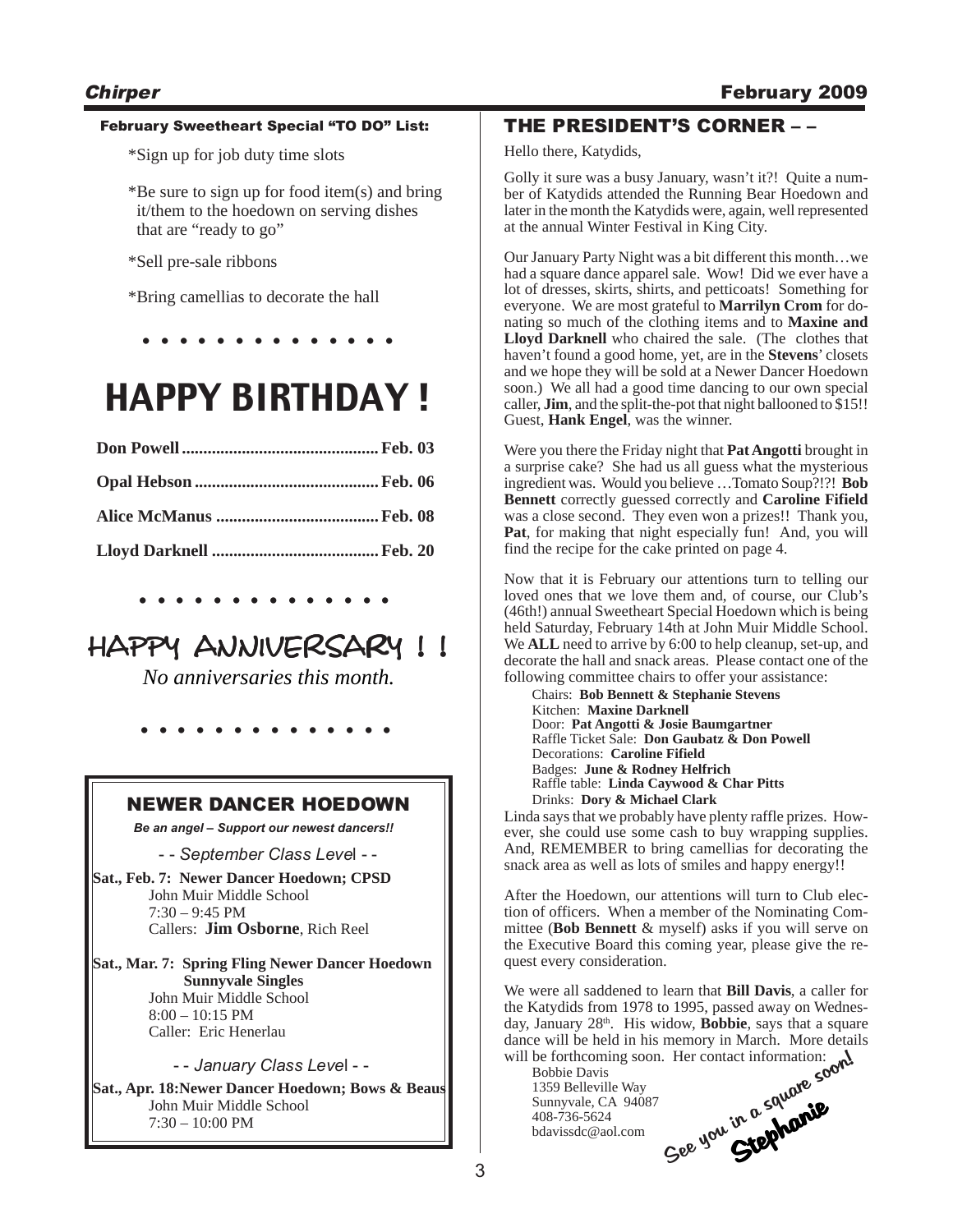### February Sweetheart Special "TO DO" List:

\*Sign up for job duty time slots

\*Be sure to sign up for food item(s) and bring it/them to the hoedown on serving dishes that are "ready to go"

\*Sell pre-sale ribbons

\*Bring camellias to decorate the hall

**. . . . . . . . . . . . . .**

# HAPPY BIRTHDAY !

### **. . . . . . . . . . . . . .**

# HAPPY ANNIVERSARY !!

*No anniversaries this month.*

**. . . . . . . . . . . . . .**

# NEWER DANCER HOEDOWN

*Be an angel – Support our newest dancers!!*

- - *September Class Leve*l - -

**Sat., Feb. 7: Newer Dancer Hoedown; CPSD** John Muir Middle School 7:30 – 9:45 PM Callers: **Jim Osborne**, Rich Reel

**Sat., Mar. 7: Spring Fling Newer Dancer Hoedown Sunnyvale Singles** John Muir Middle School  $8:00 - 10:15$  PM Caller: Eric Henerlau

- - *January Class Leve*l - -

**Sat., Apr. 18:Newer Dancer Hoedown; Bows & Beaus** John Muir Middle School 7:30 – 10:00 PM

# THE PRESIDENT'S CORNER – –

Hello there, Katydids,

Golly it sure was a busy January, wasn't it?! Quite a number of Katydids attended the Running Bear Hoedown and later in the month the Katydids were, again, well represented at the annual Winter Festival in King City.

Our January Party Night was a bit different this month…we had a square dance apparel sale. Wow! Did we ever have a lot of dresses, skirts, shirts, and petticoats! Something for everyone. We are most grateful to **Marrilyn Crom** for donating so much of the clothing items and to **Maxine and Lloyd Darknell** who chaired the sale. (The clothes that haven't found a good home, yet, are in the **Stevens**' closets and we hope they will be sold at a Newer Dancer Hoedown soon.) We all had a good time dancing to our own special caller, **Jim**, and the split-the-pot that night ballooned to \$15!! Guest, **Hank Engel**, was the winner.

Were you there the Friday night that **Pat Angotti** brought in a surprise cake? She had us all guess what the mysterious ingredient was. Would you believe …Tomato Soup?!?! **Bob Bennett** correctly guessed correctly and **Caroline Fifield** was a close second. They even won a prizes!! Thank you, **Pat**, for making that night especially fun! And, you will find the recipe for the cake printed on page 4.

Now that it is February our attentions turn to telling our loved ones that we love them and, of course, our Club's (46th!) annual Sweetheart Special Hoedown which is being held Saturday, February 14th at John Muir Middle School. We **ALL** need to arrive by 6:00 to help cleanup, set-up, and decorate the hall and snack areas. Please contact one of the following committee chairs to offer your assistance:

Chairs: **Bob Bennett & Stephanie Stevens** Kitchen: **Maxine Darknell** Door: **Pat Angotti & Josie Baumgartner** Raffle Ticket Sale: **Don Gaubatz & Don Powell** Decorations: **Caroline Fifield** Badges: **June & Rodney Helfrich** Raffle table: **Linda Caywood & Char Pitts** Drinks: **Dory & Michael Clark**

Linda says that we probably have plenty raffle prizes. However, she could use some cash to buy wrapping supplies. And, REMEMBER to bring camellias for decorating the snack area as well as lots of smiles and happy energy!!

After the Hoedown, our attentions will turn to Club election of officers. When a member of the Nominating Committee (**Bob Bennett** & myself) asks if you will serve on the Executive Board this coming year, please give the request every consideration.

We were all saddened to learn that **Bill Davis**, a caller for the Katydids from 1978 to 1995, passed away on Wednesday, January 28<sup>th</sup>. His widow, **Bobbie**, says that a square dance will be held in his memory in March. More details will be forthcoming soon. Her contact information:

Bobbie Davis 1359 Belleville Way Sunnyvale, CA 94087 408-736-5624